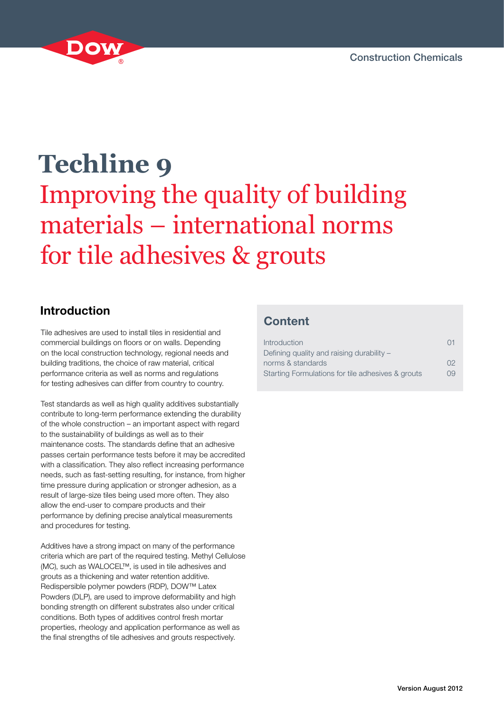

# **Techline 9** Improving the quality of building materials – international norms for tile adhesives & grouts

# **Introduction**

Tile adhesives are used to install tiles in residential and commercial buildings on floors or on walls. Depending on the local construction technology, regional needs and building traditions, the choice of raw material, critical performance criteria as well as norms and regulations for testing adhesives can differ from country to country.

Test standards as well as high quality additives substantially contribute to long-term performance extending the durability of the whole construction – an important aspect with regard to the sustainability of buildings as well as to their maintenance costs. The standards define that an adhesive passes certain performance tests before it may be accredited with a classification. They also reflect increasing performance needs, such as fast-setting resulting, for instance, from higher time pressure during application or stronger adhesion, as a result of large-size tiles being used more often. They also allow the end-user to compare products and their performance by defining precise analytical measurements and procedures for testing.

Additives have a strong impact on many of the performance criteria which are part of the required testing. Methyl Cellulose (MC), such as WALOCEL™, is used in tile adhesives and grouts as a thickening and water retention additive. Redispersible polymer powders (RDP), DOW™ Latex Powders (DLP), are used to improve deformability and high bonding strength on different substrates also under critical conditions. Both types of additives control fresh mortar properties, rheology and application performance as well as the final strengths of tile adhesives and grouts respectively.

# **Content**

| Introduction                                      | ( )1     |
|---------------------------------------------------|----------|
| Defining quality and raising durability -         |          |
| norms & standards                                 | $\Omega$ |
| Starting Formulations for tile adhesives & grouts | 09       |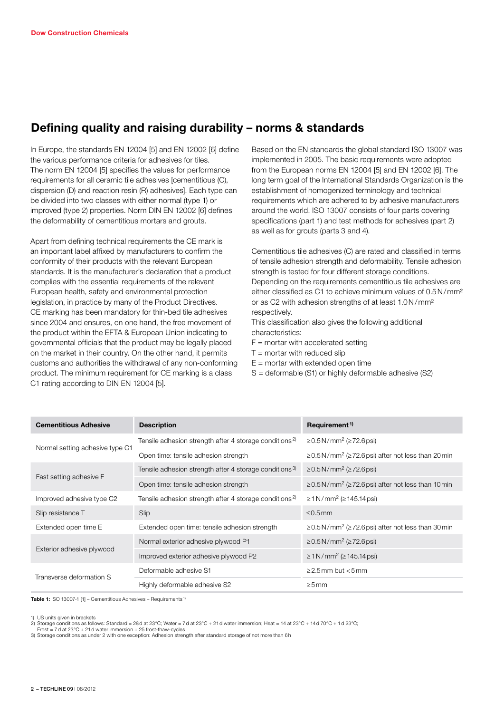## **Defining quality and raising durability – norms & standards**

In Europe, the standards EN 12004 [5] and EN 12002 [6] define the various performance criteria for adhesives for tiles. The norm EN 12004 [5] specifies the values for performance requirements for all ceramic tile adhesives [cementitious (C), dispersion (D) and reaction resin (R) adhesives]. Each type can be divided into two classes with either normal (type 1) or improved (type 2) properties. Norm DIN EN 12002 [6] defines the deformability of cementitious mortars and grouts.

Apart from defining technical requirements the CE mark is an important label affixed by manufacturers to confirm the conformity of their products with the relevant European standards. It is the manufacturer's declaration that a product complies with the essential requirements of the relevant European health, safety and environmental protection legislation, in practice by many of the Product Directives. CE marking has been mandatory for thin-bed tile adhesives since 2004 and ensures, on one hand, the free movement of the product within the EFTA & European Union indicating to governmental officials that the product may be legally placed on the market in their country. On the other hand, it permits customs and authorities the withdrawal of any non-conforming product. The minimum requirement for CE marking is a class C1 rating according to DIN EN 12004 [5].

Based on the EN standards the global standard ISO 13007 was implemented in 2005. The basic requirements were adopted from the European norms EN 12004 [5] and EN 12002 [6]. The long term goal of the International Standards Organization is the establishment of homogenized terminology and technical requirements which are adhered to by adhesive manufacturers around the world. ISO 13007 consists of four parts covering specifications (part 1) and test methods for adhesives (part 2) as well as for grouts (parts 3 and 4).

Cementitious tile adhesives (C) are rated and classified in terms of tensile adhesion strength and deformability. Tensile adhesion strength is tested for four different storage conditions. Depending on the requirements cementitious tile adhesives are either classified as C1 to achieve minimum values of 0.5N/mm² or as C2 with adhesion strengths of at least 1.0N/mm² respectively.

This classification also gives the following additional characteristics:

- $F =$  mortar with accelerated setting
- $T =$  mortar with reduced slip
- $E =$  mortar with extended open time
- S = deformable (S1) or highly deformable adhesive (S2)

| <b>Cementitious Adhesive</b>    | <b>Description</b>                                                 | Requirement <sup>1)</sup>                                                 |
|---------------------------------|--------------------------------------------------------------------|---------------------------------------------------------------------------|
|                                 | Tensile adhesion strength after 4 storage conditions <sup>2)</sup> | $\geq$ 0.5 N/mm <sup>2</sup> ( $\geq$ 72.6 psi)                           |
| Normal setting adhesive type C1 | Open time: tensile adhesion strength                               | $\geq$ 0.5N/mm <sup>2</sup> ( $\geq$ 72.6psi) after not less than 20 min  |
|                                 | Tensile adhesion strength after 4 storage conditions <sup>3)</sup> | $\geq$ 0.5 N/mm <sup>2</sup> ( $\geq$ 72.6 psi)                           |
| Fast setting adhesive F         | Open time: tensile adhesion strength                               | $\geq$ 0.5N/mm <sup>2</sup> ( $\geq$ 72.6 psi) after not less than 10 min |
| Improved adhesive type C2       | Tensile adhesion strength after 4 storage conditions <sup>2)</sup> | $\geq$ 1 N/mm <sup>2</sup> ( $\geq$ 145.14 psi)                           |
| Slip resistance T               | Slip                                                               | $< 0.5$ mm                                                                |
| Extended open time E            | Extended open time: tensile adhesion strength                      | $\geq$ 0.5N/mm <sup>2</sup> ( $\geq$ 72.6 psi) after not less than 30 min |
|                                 | Normal exterior adhesive plywood P1                                | ≥0.5N/mm <sup>2</sup> (≥72.6 psi)                                         |
| Exterior adhesive plywood       | Improved exterior adhesive plywood P2                              | $\geq$ 1 N/mm <sup>2</sup> ( $\geq$ 145.14 psi)                           |
| Transverse deformation S        | Deformable adhesive S1                                             | $>2.5$ mm but $< 5$ mm                                                    |
|                                 | Highly deformable adhesive S2                                      | $>5$ mm                                                                   |

**Table 1:** ISO 13007-1 [1] – Cementitious Adhesives – Requirements<sup>1)</sup>

1) US units given in brackets

Frost = 7d at 23°C + 21d water immersion + 25 frost-thaw-cycle

<sup>2)</sup> Storage conditions as follows: Standard = 28d at 23°C; Water = 7d at 23°C + 21d water immersion; Heat = 14 at 23°C + 14d 70°C + 1d 23°C;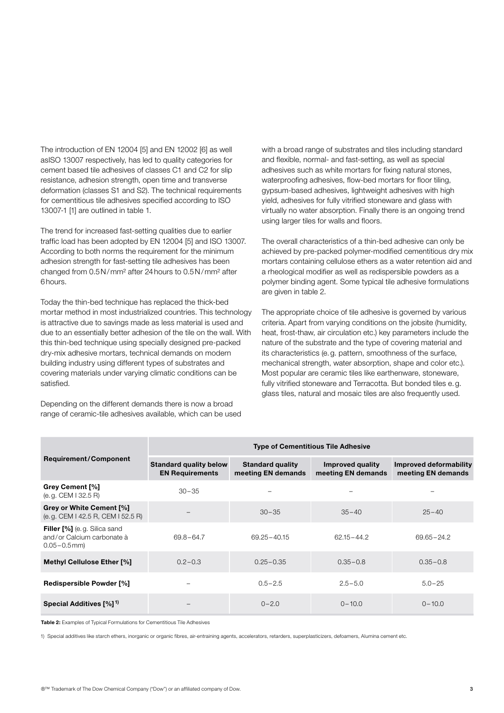The introduction of EN 12004 [5] and EN 12002 [6] as well asISO 13007 respectively, has led to quality categories for cement based tile adhesives of classes C1 and C2 for slip resistance, adhesion strength, open time and transverse deformation (classes S1 and S2). The technical requirements for cementitious tile adhesives specified according to ISO 13007-1 [1] are outlined in table 1.

The trend for increased fast-setting qualities due to earlier traffic load has been adopted by EN 12004 [5] and ISO 13007. According to both norms the requirement for the minimum adhesion strength for fast-setting tile adhesives has been changed from 0.5N/mm² after 24hours to 0.5N/mm² after 6hours.

Today the thin-bed technique has replaced the thick-bed mortar method in most industrialized countries. This technology is attractive due to savings made as less material is used and due to an essentially better adhesion of the tile on the wall. With this thin-bed technique using specially designed pre-packed dry-mix adhesive mortars, technical demands on modern building industry using different types of substrates and covering materials under varying climatic conditions can be satisfied.

Depending on the different demands there is now a broad range of ceramic-tile adhesives available, which can be used

with a broad range of substrates and tiles including standard and flexible, normal- and fast-setting, as well as special adhesives such as white mortars for fixing natural stones, waterproofing adhesives, flow-bed mortars for floor tiling, gypsum-based adhesives, lightweight adhesives with high yield, adhesives for fully vitrified stoneware and glass with virtually no water absorption. Finally there is an ongoing trend using larger tiles for walls and floors.

The overall characteristics of a thin-bed adhesive can only be achieved by pre-packed polymer-modified cementitious dry mix mortars containing cellulose ethers as a water retention aid and a rheological modifier as well as redispersible powders as a polymer binding agent. Some typical tile adhesive formulations are given in table 2.

The appropriate choice of tile adhesive is governed by various criteria. Apart from varying conditions on the jobsite (humidity, heat, frost-thaw, air circulation etc.) key parameters include the nature of the substrate and the type of covering material and its characteristics (e.g. pattern, smoothness of the surface, mechanical strength, water absorption, shape and color etc.). Most popular are ceramic tiles like earthenware, stoneware, fully vitrified stoneware and Terracotta. But bonded tiles e.g. glass tiles, natural and mosaic tiles are also frequently used.

|                                                                                       | <b>Type of Cementitious Tile Adhesive</b>               |                                               |                                        |                                                     |
|---------------------------------------------------------------------------------------|---------------------------------------------------------|-----------------------------------------------|----------------------------------------|-----------------------------------------------------|
| <b>Requirement/Component</b>                                                          | <b>Standard quality below</b><br><b>EN Requirements</b> | <b>Standard quality</b><br>meeting EN demands | Improved quality<br>meeting EN demands | <b>Improved deformability</b><br>meeting EN demands |
| <b>Grey Cement [%]</b><br>$(e.g. \text{CEM} \mid 32.5 \text{ R})$                     | $30 - 35$                                               |                                               |                                        |                                                     |
| Grey or White Cement [%]<br>(e.g. CEM   42.5 R, CEM   52.5 R)                         |                                                         | $30 - 35$                                     | $35 - 40$                              | $25 - 40$                                           |
| <b>Filler [%]</b> (e.g. Silica sand<br>and/or Calcium carbonate à<br>$0.05 - 0.5$ mm) | 69.8-64.7                                               | $69.25 - 40.15$                               | $62.15 - 44.2$                         | 69.65 - 24.2                                        |
| <b>Methyl Cellulose Ether [%]</b>                                                     | $0.2 - 0.3$                                             | $0.25 - 0.35$                                 | $0.35 - 0.8$                           | $0.35 - 0.8$                                        |
| <b>Redispersible Powder [%]</b>                                                       |                                                         | $0.5 - 2.5$                                   | $2.5 - 5.0$                            | $5.0 - 25$                                          |
| Special Additives [%] <sup>1)</sup>                                                   |                                                         | $0 - 2.0$                                     | $0 - 10.0$                             | $0 - 10.0$                                          |

**Table 2:** Examples of Typical Formulations for Cementitious Tile Adhesives

1) Special additives like starch ethers, inorganic or organic fibres, air-entraining agents, accelerators, retarders, superplasticizers, defoamers, Alumina cement etc.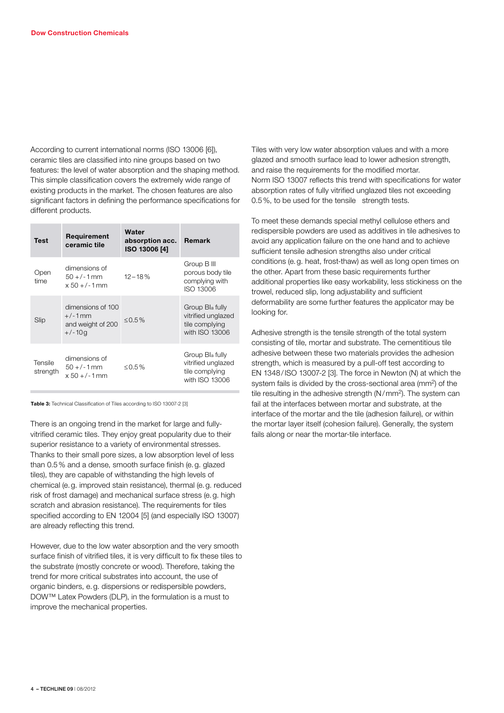According to current international norms (ISO 13006 [6]), ceramic tiles are classified into nine groups based on two features: the level of water absorption and the shaping method. This simple classification covers the extremely wide range of existing products in the market. The chosen features are also significant factors in defining the performance specifications for different products.

| <b>Test</b>         | Requirement<br>ceramic tile                                     | Water<br>absorption acc.<br><b>ISO 13006 [4]</b> | <b>Remark</b>                                                                         |
|---------------------|-----------------------------------------------------------------|--------------------------------------------------|---------------------------------------------------------------------------------------|
| Open<br>time        | dimensions of<br>$50 + (-1)$ mm<br>$x 50 + (-1)$ mm             | $12 - 18%$                                       | Group B III<br>porous body tile<br>complying with<br>ISO 13006                        |
| Slip                | dimensions of 100<br>$+/-1$ mm<br>and weight of 200<br>$+/-10q$ | ≤ $0.5\%$                                        | Group Bl <sub>a</sub> fully<br>vitrified unglazed<br>tile complying<br>with ISO 13006 |
| Tensile<br>strength | dimensions of<br>$50 + (-1)$ mm<br>$x 50 + (-1)$ mm             | ≤ $0.5%$                                         | Group Bla fully<br>vitrified unglazed<br>tile complying<br>with ISO 13006             |

**Table 3:** Technical Classification of Tiles according to ISO 13007-2 [3]

There is an ongoing trend in the market for large and fullyvitrified ceramic tiles. They enjoy great popularity due to their superior resistance to a variety of environmental stresses. Thanks to their small pore sizes, a low absorption level of less than 0.5% and a dense, smooth surface finish (e.g. glazed tiles), they are capable of withstanding the high levels of chemical (e.g. improved stain resistance), thermal (e.g. reduced risk of frost damage) and mechanical surface stress (e.g. high scratch and abrasion resistance). The requirements for tiles specified according to EN 12004 [5] (and especially ISO 13007) are already reflecting this trend.

However, due to the low water absorption and the very smooth surface finish of vitrified tiles, it is very difficult to fix these tiles to the substrate (mostly concrete or wood). Therefore, taking the trend for more critical substrates into account, the use of organic binders, e.g. dispersions or redispersible powders, DOW™ Latex Powders (DLP), in the formulation is a must to improve the mechanical properties.

Tiles with very low water absorption values and with a more glazed and smooth surface lead to lower adhesion strength, and raise the requirements for the modified mortar. Norm ISO 13007 reflects this trend with specifications for water absorption rates of fully vitrified unglazed tiles not exceeding 0.5%, to be used for the tensile strength tests.

To meet these demands special methyl cellulose ethers and redispersible powders are used as additives in tile adhesives to avoid any application failure on the one hand and to achieve sufficient tensile adhesion strengths also under critical conditions (e.g. heat, frost-thaw) as well as long open times on the other. Apart from these basic requirements further additional properties like easy workability, less stickiness on the trowel, reduced slip, long adjustability and sufficient deformability are some further features the applicator may be looking for.

Adhesive strength is the tensile strength of the total system consisting of tile, mortar and substrate. The cementitious tile adhesive between these two materials provides the adhesion strength, which is measured by a pull-off test according to EN 1348/ISO 13007-2 [3]. The force in Newton (N) at which the system fails is divided by the cross-sectional area (mm2) of the tile resulting in the adhesive strength (N/mm<sup>2</sup>). The system can fail at the interfaces between mortar and substrate, at the interface of the mortar and the tile (adhesion failure), or within the mortar layer itself (cohesion failure). Generally, the system fails along or near the mortar-tile interface.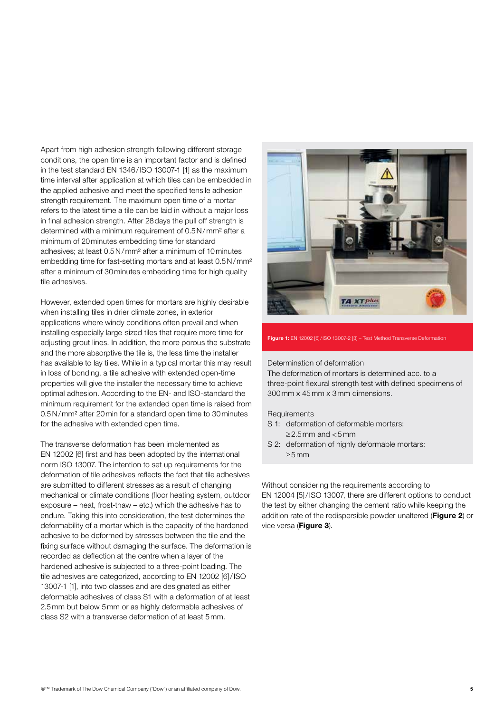Apart from high adhesion strength following different storage conditions, the open time is an important factor and is defined in the test standard EN 1346/ISO 13007-1 [1] as the maximum time interval after application at which tiles can be embedded in the applied adhesive and meet the specified tensile adhesion strength requirement. The maximum open time of a mortar refers to the latest time a tile can be laid in without a major loss in final adhesion strength. After 28days the pull off strength is determined with a minimum requirement of 0.5N/mm² after a minimum of 20minutes embedding time for standard adhesives; at least 0.5N/mm² after a minimum of 10minutes embedding time for fast-setting mortars and at least 0.5N/mm² after a minimum of 30minutes embedding time for high quality tile adhesives.

However, extended open times for mortars are highly desirable when installing tiles in drier climate zones, in exterior applications where windy conditions often prevail and when installing especially large-sized tiles that require more time for adjusting grout lines. In addition, the more porous the substrate and the more absorptive the tile is, the less time the installer has available to lay tiles. While in a typical mortar this may result in loss of bonding, a tile adhesive with extended open-time properties will give the installer the necessary time to achieve optimal adhesion. According to the EN- and ISO-standard the minimum requirement for the extended open time is raised from 0.5N/mm² after 20min for a standard open time to 30minutes for the adhesive with extended open time.

The transverse deformation has been implemented as EN 12002 [6] first and has been adopted by the international norm ISO 13007. The intention to set up requirements for the deformation of tile adhesives reflects the fact that tile adhesives are submitted to different stresses as a result of changing mechanical or climate conditions (floor heating system, outdoor exposure – heat, frost-thaw – etc.) which the adhesive has to endure. Taking this into consideration, the test determines the deformability of a mortar which is the capacity of the hardened adhesive to be deformed by stresses between the tile and the fixing surface without damaging the surface. The deformation is recorded as deflection at the centre when a layer of the hardened adhesive is subjected to a three-point loading. The tile adhesives are categorized, according to EN 12002 [6]/ISO 13007-1 [1], into two classes and are designated as either deformable adhesives of class S1 with a deformation of at least 2.5mm but below 5mm or as highly deformable adhesives of class S2 with a transverse deformation of at least 5mm.



#### **Figure 1:** EN 12002 [6]/ISO 13007-2 [3] – Test Method Transverse Deformation

#### Determination of deformation

The deformation of mortars is determined acc. to a three-point flexural strength test with defined specimens of 300mm x 45mm x 3mm dimensions.

#### **Requirements**

- S 1: deformation of deformable mortars:  $\geq$  2.5 mm and  $<$  5 mm
- S 2: deformation of highly deformable mortars: ≥5mm

Without considering the requirements according to EN 12004 [5]/ISO 13007, there are different options to conduct the test by either changing the cement ratio while keeping the addition rate of the redispersible powder unaltered (**Figure 2**) or vice versa (**Figure 3**).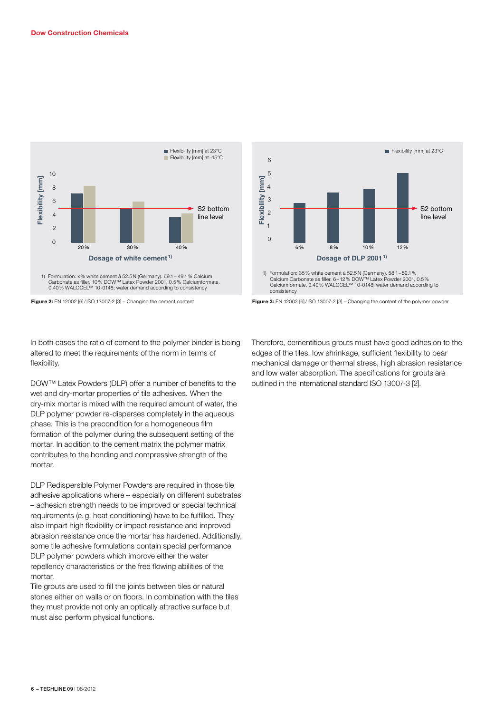

Carbonate as filler, 10% DOW™ Latex Powder 2001, 0.5% Calciumformate, 0.40% WALOCEL™ 10-0148; water demand according to consistency



In both cases the ratio of cement to the polymer binder is being altered to meet the requirements of the norm in terms of flexibility.

DOW™ Latex Powders (DLP) offer a number of benefits to the wet and dry-mortar properties of tile adhesives. When the dry-mix mortar is mixed with the required amount of water, the DLP polymer powder re-disperses completely in the aqueous phase. This is the precondition for a homogeneous film formation of the polymer during the subsequent setting of the mortar. In addition to the cement matrix the polymer matrix contributes to the bonding and compressive strength of the mortar.

DLP Redispersible Polymer Powders are required in those tile adhesive applications where – especially on different substrates – adhesion strength needs to be improved or special technical requirements (e.g. heat conditioning) have to be fulfilled. They also impart high flexibility or impact resistance and improved abrasion resistance once the mortar has hardened. Additionally, some tile adhesive formulations contain special performance DLP polymer powders which improve either the water repellency characteristics or the free flowing abilities of the mortar.

Tile grouts are used to fill the joints between tiles or natural stones either on walls or on floors. In combination with the tiles they must provide not only an optically attractive surface but must also perform physical functions.



Therefore, cementitious grouts must have good adhesion to the edges of the tiles, low shrinkage, sufficient flexibility to bear mechanical damage or thermal stress, high abrasion resistance and low water absorption. The specifications for grouts are outlined in the international standard ISO 13007-3 [2].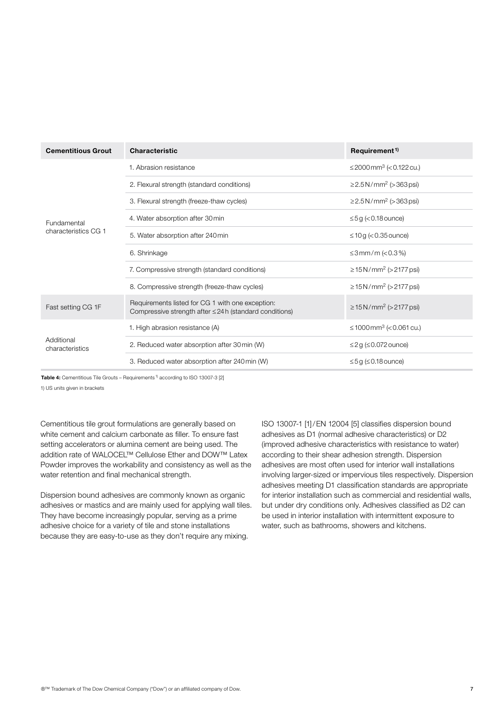| <b>Cementitious Grout</b>     | <b>Characteristic</b>                                                                                            | Requirement <sup>1)</sup>                   |
|-------------------------------|------------------------------------------------------------------------------------------------------------------|---------------------------------------------|
|                               | 1. Abrasion resistance                                                                                           | ≤2000mm <sup>3</sup> (<0.122 cu.)           |
|                               | 2. Flexural strength (standard conditions)                                                                       | $\geq$ 2.5 N/mm <sup>2</sup> ( $>$ 363 psi) |
|                               | 3. Flexural strength (freeze-thaw cycles)                                                                        | $\geq$ 2.5 N/mm <sup>2</sup> ( $>$ 363 psi) |
| Fundamental                   | 4. Water absorption after 30 min                                                                                 | $\leq$ 5g (<0.18 ounce)                     |
| characteristics CG 1          | 5. Water absorption after 240 min                                                                                | $\leq$ 10g ( $<$ 0.35 ounce)                |
|                               | 6. Shrinkage                                                                                                     | ≤3mm/m (< $0.3\%$ )                         |
|                               | 7. Compressive strength (standard conditions)                                                                    | ≥ 15 N/mm <sup>2</sup> (> 2177 psi)         |
|                               | 8. Compressive strength (freeze-thaw cycles)                                                                     | $\geq$ 15 N/mm <sup>2</sup> (> 2177 psi)    |
| Fast setting CG 1F            | Requirements listed for CG 1 with one exception:<br>Compressive strength after $\leq$ 24 h (standard conditions) | $\geq$ 15 N/mm <sup>2</sup> (> 2177 psi)    |
| Additional<br>characteristics | 1. High abrasion resistance (A)                                                                                  | ≤1000 mm <sup>3</sup> (<0.061 cu.)          |
|                               | 2. Reduced water absorption after 30 min (W)                                                                     | $\leq$ 2g ( $\leq$ 0.072 ounce)             |
|                               | 3. Reduced water absorption after 240 min (W)                                                                    | $\leq$ 5g ( $\leq$ 0.18 ounce)              |

Table 4: Cementitious Tile Grouts – Requirements<sup>1)</sup> according to ISO 13007-3 [2]

1) US units given in brackets

Cementitious tile grout formulations are generally based on white cement and calcium carbonate as filler. To ensure fast setting accelerators or alumina cement are being used. The addition rate of WALOCEL™ Cellulose Ether and DOW™ Latex Powder improves the workability and consistency as well as the water retention and final mechanical strength.

Dispersion bound adhesives are commonly known as organic adhesives or mastics and are mainly used for applying wall tiles. They have become increasingly popular, serving as a prime adhesive choice for a variety of tile and stone installations because they are easy-to-use as they don't require any mixing.

ISO 13007-1 [1]/EN 12004 [5] classifies dispersion bound adhesives as D1 (normal adhesive characteristics) or D2 (improved adhesive characteristics with resistance to water) according to their shear adhesion strength. Dispersion adhesives are most often used for interior wall installations involving larger-sized or impervious tiles respectively. Dispersion adhesives meeting D1 classification standards are appropriate for interior installation such as commercial and residential walls, but under dry conditions only. Adhesives classified as D2 can be used in interior installation with intermittent exposure to water, such as bathrooms, showers and kitchens.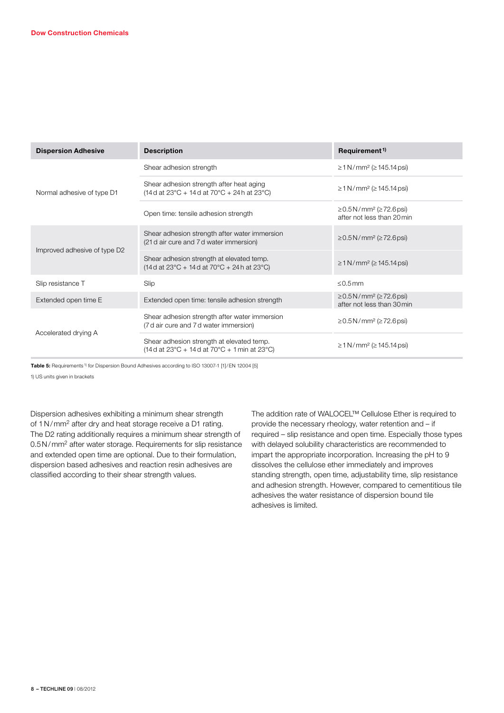| <b>Dispersion Adhesive</b>   | <b>Description</b>                                                                                                                                            | Requirement <sup>1)</sup>                                       |
|------------------------------|---------------------------------------------------------------------------------------------------------------------------------------------------------------|-----------------------------------------------------------------|
| Normal adhesive of type D1   | Shear adhesion strength                                                                                                                                       | $\geq$ 1 N/mm <sup>2</sup> ( $\geq$ 145.14 psi)                 |
|                              | Shear adhesion strength after heat aging<br>$(14 d at 23^{\circ}C + 14 d at 70^{\circ}C + 24 h at 23^{\circ}C)$                                               | $\geq$ 1 N/mm <sup>2</sup> ( $\geq$ 145.14 psi)                 |
|                              | Open time: tensile adhesion strength                                                                                                                          | ≥0.5N/mm <sup>2</sup> (≥72.6 psi)<br>after not less than 20 min |
| Improved adhesive of type D2 | Shear adhesion strength after water immersion<br>(21 d air cure and 7 d water immersion)                                                                      | ≥0.5N/mm <sup>2</sup> (≥72.6 psi)                               |
|                              | Shear adhesion strength at elevated temp.<br>$(14d \text{ at } 23^{\circ}\text{C} + 14d \text{ at } 70^{\circ}\text{C} + 24h \text{ at } 23^{\circ}\text{C})$ | $\geq$ 1 N/mm <sup>2</sup> ( $\geq$ 145.14 psi)                 |
| Slip resistance T            | Slip                                                                                                                                                          | $< 0.5$ mm                                                      |
| Extended open time E         | Extended open time: tensile adhesion strength                                                                                                                 | ≥0.5N/mm <sup>2</sup> (≥72.6 psi)<br>after not less than 30 min |
| Accelerated drying A         | Shear adhesion strength after water immersion<br>(7 d air cure and 7 d water immersion)                                                                       | ≥0.5N/mm <sup>2</sup> (≥72.6 psi)                               |
|                              | Shear adhesion strength at elevated temp.<br>$(14d at 23^{\circ}C + 14d at 70^{\circ}C + 1min at 23^{\circ}C)$                                                | $\geq$ 1 N/mm <sup>2</sup> ( $\geq$ 145.14 psi)                 |

Table 5: Requirements<sup>1)</sup> for Dispersion Bound Adhesives according to ISO 13007-1 [1]/EN 12004 [5]

1) US units given in brackets

Dispersion adhesives exhibiting a minimum shear strength of 1N/mm2 after dry and heat storage receive a D1 rating. The D2 rating additionally requires a minimum shear strength of 0.5N/mm2 after water storage. Requirements for slip resistance and extended open time are optional. Due to their formulation, dispersion based adhesives and reaction resin adhesives are classified according to their shear strength values.

The addition rate of WALOCEL™ Cellulose Ether is required to provide the necessary rheology, water retention and – if required – slip resistance and open time. Especially those types with delayed solubility characteristics are recommended to impart the appropriate incorporation. Increasing the pH to 9 dissolves the cellulose ether immediately and improves standing strength, open time, adjustability time, slip resistance and adhesion strength. However, compared to cementitious tile adhesives the water resistance of dispersion bound tile adhesives is limited.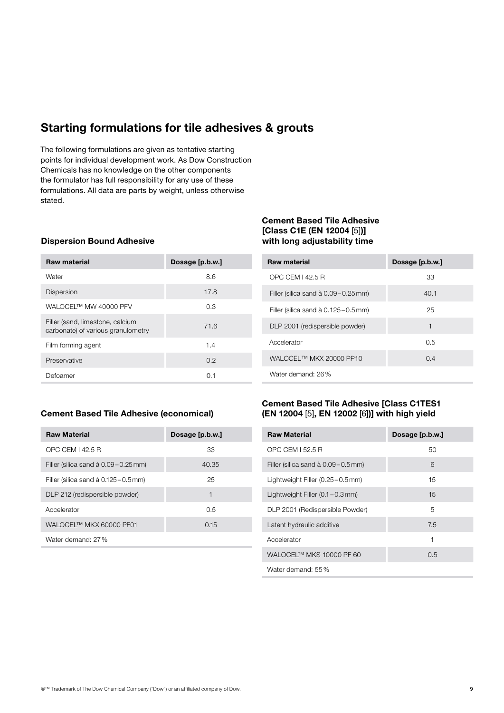# **Starting formulations for tile adhesives & grouts**

The following formulations are given as tentative starting points for individual development work. As Dow Construction Chemicals has no knowledge on the other components the formulator has full responsibility for any use of these formulations. All data are parts by weight, unless otherwise stated.

#### **Dispersion Bound Adhesive**

| <b>Raw material</b>                                                    | Dosage [p.b.w.] |
|------------------------------------------------------------------------|-----------------|
| Water                                                                  | 8.6             |
| <b>Dispersion</b>                                                      | 17.8            |
| WAI OCEL™ MW 40000 PEV                                                 | 0.3             |
| Filler (sand, limestone, calcium<br>carbonate) of various granulometry | 71.6            |
| Film forming agent                                                     | 1.4             |
| Preservative                                                           | 0.2             |
| Defoamer                                                               | 0.1             |

#### **Cement Based Tile Adhesive [Class C1E (EN 12004** [5]**)] with long adjustability time**

| <b>Raw material</b>                           | Dosage [p.b.w.] |
|-----------------------------------------------|-----------------|
| OPC CEM 142.5 B                               | 33              |
| Filler (silica sand $\dot{a}$ 0.09 – 0.25 mm) | 40.1            |
| Filler (silica sand $\dot{a}$ 0.125 – 0.5 mm) | 25              |
| DLP 2001 (redispersible powder)               | 1               |
| Accelerator                                   | 0.5             |
| WALOCEL™ MKX 20000 PP10                       | 0.4             |
| Water demand: 26%                             |                 |

## **Cement Based Tile Adhesive (economical)**

| <b>Raw Material</b>                   | Dosage [p.b.w.] |
|---------------------------------------|-----------------|
| OPC CEM   42.5 R                      | 33              |
| Filler (silica sand à 0.09 – 0.25 mm) | 40.35           |
| Filler (silica sand à 0.125 - 0.5 mm) | 25              |
| DLP 212 (redispersible powder)        | 1               |
| Accelerator                           | 0.5             |
| WALOCEL™ MKX 60000 PF01               | 0.15            |
| Water demand: 27%                     |                 |

## **Cement Based Tile Adhesive [Class C1TES1 (EN 12004** [5]**, EN 12002** [6]**)] with high yield**

| <b>Raw Material</b>                          | Dosage [p.b.w.] |
|----------------------------------------------|-----------------|
| OPC CEM 152.5 R                              | 50              |
| Filler (silica sand à 0.09-0.5 mm)           | 6               |
| Lightweight Filler $(0.25 - 0.5 \text{ mm})$ | 15              |
| Lightweight Filler $(0.1 - 0.3$ mm)          | 15              |
| DLP 2001 (Redispersible Powder)              | 5               |
| Latent hydraulic additive                    | 7.5             |
| Accelerator                                  | 1               |
| WALOCEL™ MKS 10000 PF 60                     | 0.5             |
| Water demand: 55%                            |                 |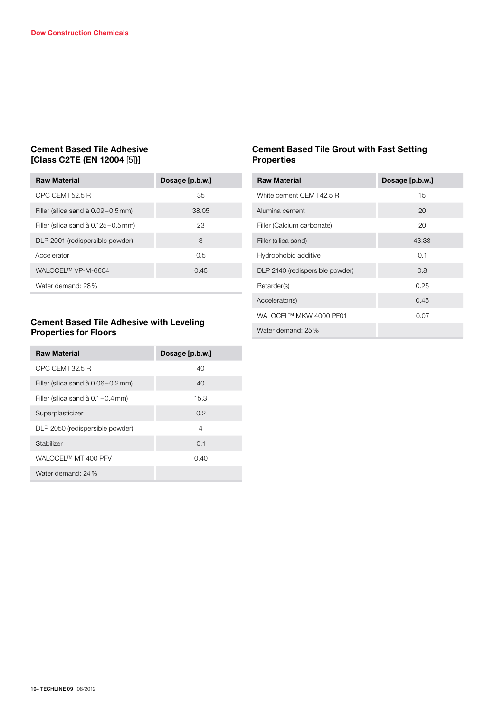## **Cement Based Tile Adhesive [Class C2TE (EN 12004** [5]**)]**

| <b>Raw Material</b>                           | Dosage [p.b.w.] |
|-----------------------------------------------|-----------------|
| OPC CEM L52.5 B                               | 35              |
| Filler (silica sand à 0.09 – 0.5 mm)          | 38.05           |
| Filler (silica sand $\dot{a}$ 0.125 – 0.5 mm) | 23              |
| DLP 2001 (redispersible powder)               | 3               |
| Accelerator                                   | 0.5             |
| WALOCEL™ VP-M-6604                            | 0.45            |
| Water demand: 28%                             |                 |

## **Cement Based Tile Grout with Fast Setting Properties**

| <b>Raw Material</b>             | Dosage [p.b.w.] |
|---------------------------------|-----------------|
| White cement CEM I 42.5 R       | 15              |
| Alumina cement                  | 20              |
| Filler (Calcium carbonate)      | 20              |
| Filler (silica sand)            | 43.33           |
| Hydrophobic additive            | 0.1             |
| DLP 2140 (redispersible powder) | 0.8             |
| Retarder(s)                     | 0.25            |
| Accelerator(s)                  | 0.45            |
| WALOCEL™ MKW 4000 PF01          | 0.07            |
| Water demand: 25%               |                 |

## **Cement Based Tile Adhesive with Leveling Properties for Floors**

| <b>Raw Material</b>                          | Dosage [p.b.w.] |
|----------------------------------------------|-----------------|
| OPC CEM L32.5 R                              | 40              |
| Filler (silica sand $\hat{a}$ 0.06 – 0.2 mm) | 40              |
| Filler (silica sand $\dot{a}$ 0.1 – 0.4 mm)  | 15.3            |
| Superplasticizer                             | 0.2             |
| DLP 2050 (redispersible powder)              | $\overline{4}$  |
| Stabilizer                                   | 0.1             |
| WAI OCEI™ MT 400 PFV                         | 0.40            |
| Water demand: 24%                            |                 |